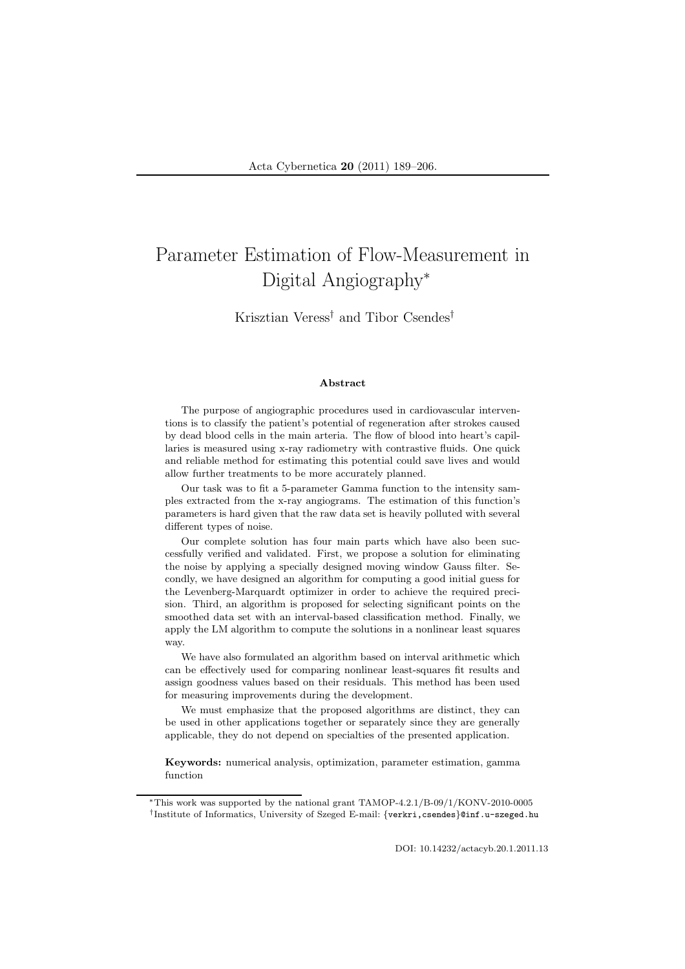# Parameter Estimation of Flow-Measurement in Digital Angiography<sup>∗</sup>

# Krisztian Veress† and Tibor Csendes†

#### Abstract

The purpose of angiographic procedures used in cardiovascular interventions is to classify the patient's potential of regeneration after strokes caused by dead blood cells in the main arteria. The flow of blood into heart's capillaries is measured using x-ray radiometry with contrastive fluids. One quick and reliable method for estimating this potential could save lives and would allow further treatments to be more accurately planned.

Our task was to fit a 5-parameter Gamma function to the intensity samples extracted from the x-ray angiograms. The estimation of this function's parameters is hard given that the raw data set is heavily polluted with several different types of noise.

Our complete solution has four main parts which have also been successfully verified and validated. First, we propose a solution for eliminating the noise by applying a specially designed moving window Gauss filter. Secondly, we have designed an algorithm for computing a good initial guess for the Levenberg-Marquardt optimizer in order to achieve the required precision. Third, an algorithm is proposed for selecting significant points on the smoothed data set with an interval-based classification method. Finally, we apply the LM algorithm to compute the solutions in a nonlinear least squares way.

We have also formulated an algorithm based on interval arithmetic which can be effectively used for comparing nonlinear least-squares fit results and assign goodness values based on their residuals. This method has been used for measuring improvements during the development.

We must emphasize that the proposed algorithms are distinct, they can be used in other applications together or separately since they are generally applicable, they do not depend on specialties of the presented application.

Keywords: numerical analysis, optimization, parameter estimation, gamma function

<sup>∗</sup>This work was supported by the national grant TAMOP-4.2.1/B-09/1/KONV-2010-0005 † Institute of Informatics, University of Szeged E-mail: {verkri,csendes}@inf.u-szeged.hu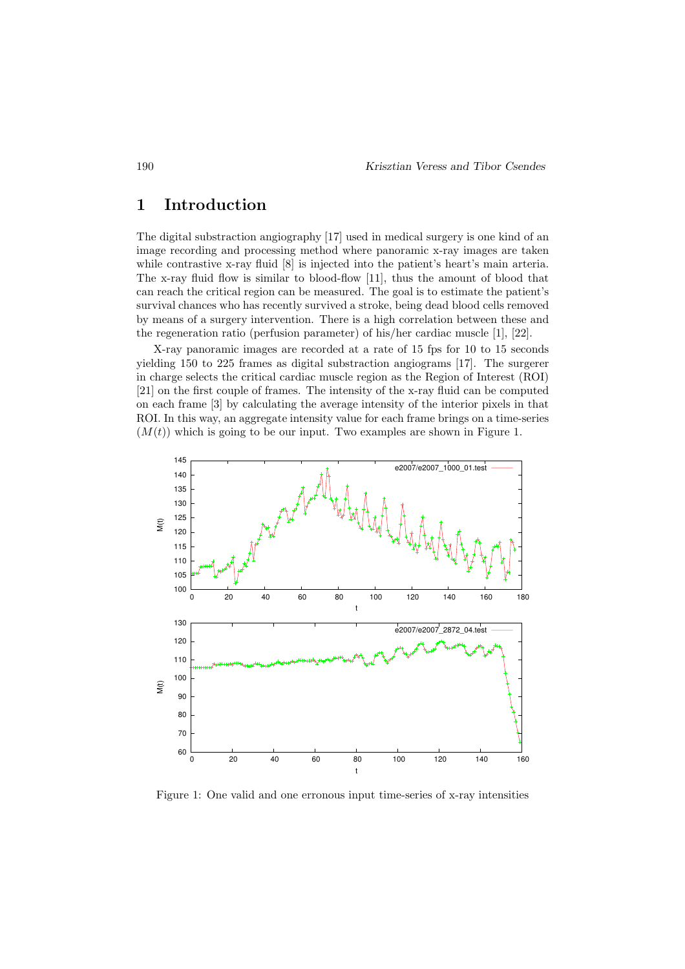# 1 Introduction

The digital substraction angiography [17] used in medical surgery is one kind of an image recording and processing method where panoramic x-ray images are taken while contrastive x-ray fluid [8] is injected into the patient's heart's main arteria. The x-ray fluid flow is similar to blood-flow [11], thus the amount of blood that can reach the critical region can be measured. The goal is to estimate the patient's survival chances who has recently survived a stroke, being dead blood cells removed by means of a surgery intervention. There is a high correlation between these and the regeneration ratio (perfusion parameter) of his/her cardiac muscle [1], [22].

X-ray panoramic images are recorded at a rate of 15 fps for 10 to 15 seconds yielding 150 to 225 frames as digital substraction angiograms [17]. The surgerer in charge selects the critical cardiac muscle region as the Region of Interest (ROI) [21] on the first couple of frames. The intensity of the x-ray fluid can be computed on each frame [3] by calculating the average intensity of the interior pixels in that ROI. In this way, an aggregate intensity value for each frame brings on a time-series  $(M(t))$  which is going to be our input. Two examples are shown in Figure 1.



Figure 1: One valid and one erronous input time-series of x-ray intensities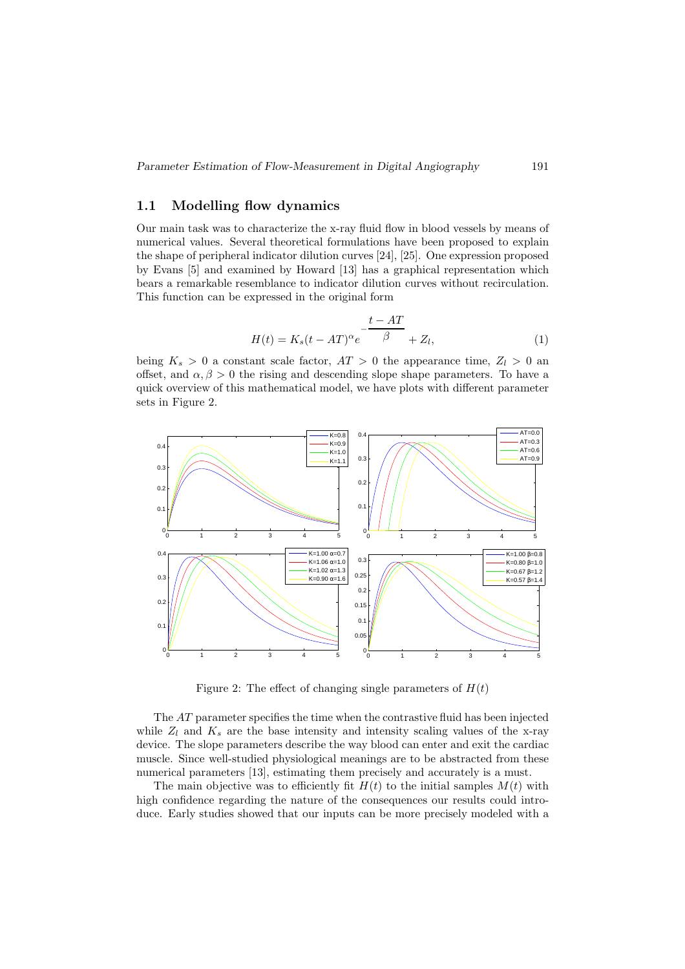#### 1.1 Modelling flow dynamics

Our main task was to characterize the x-ray fluid flow in blood vessels by means of numerical values. Several theoretical formulations have been proposed to explain the shape of peripheral indicator dilution curves [24], [25]. One expression proposed by Evans [5] and examined by Howard [13] has a graphical representation which bears a remarkable resemblance to indicator dilution curves without recirculation. This function can be expressed in the original form

$$
H(t) = K_s(t - AT)^\alpha e^{-\frac{t - AT}{\beta}} + Z_l,
$$
\n(1)

being  $K_s > 0$  a constant scale factor,  $AT > 0$  the appearance time,  $Z_l > 0$  and offset, and  $\alpha, \beta > 0$  the rising and descending slope shape parameters. To have a quick overview of this mathematical model, we have plots with different parameter sets in Figure 2.



Figure 2: The effect of changing single parameters of  $H(t)$ 

The AT parameter specifies the time when the contrastive fluid has been injected while  $Z_l$  and  $K_s$  are the base intensity and intensity scaling values of the x-ray device. The slope parameters describe the way blood can enter and exit the cardiac muscle. Since well-studied physiological meanings are to be abstracted from these numerical parameters [13], estimating them precisely and accurately is a must.

The main objective was to efficiently fit  $H(t)$  to the initial samples  $M(t)$  with high confidence regarding the nature of the consequences our results could introduce. Early studies showed that our inputs can be more precisely modeled with a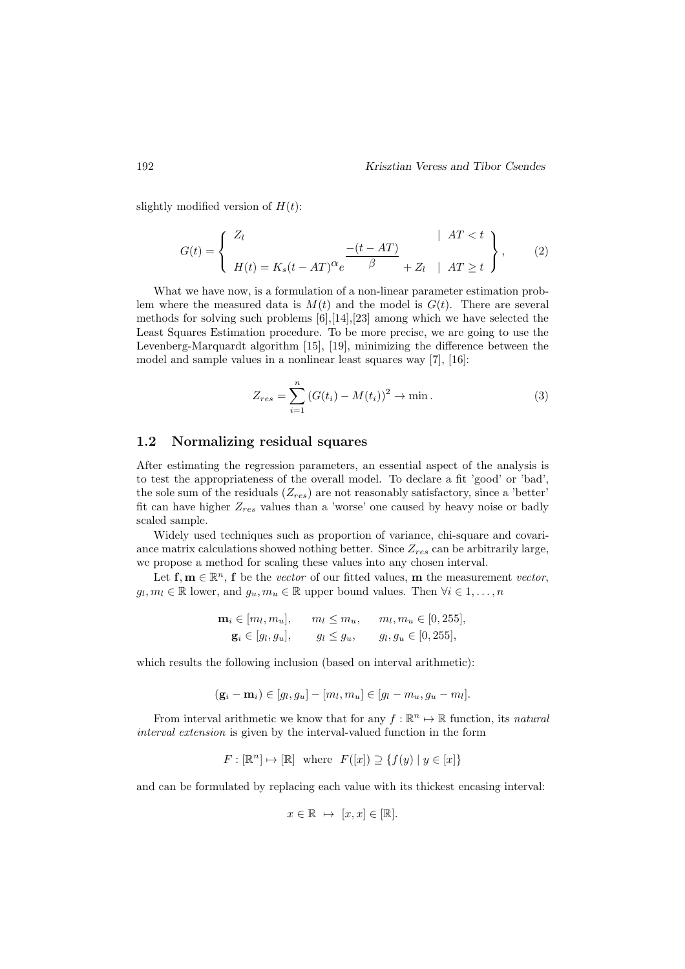slightly modified version of  $H(t)$ :

$$
G(t) = \begin{cases} Z_l & |AT < t \\ H(t) = K_s(t - AT)^{\alpha} e^{-\frac{-(t - AT)}{\beta}} + Z_l & |AT \ge t \end{cases}, \qquad (2)
$$

What we have now, is a formulation of a non-linear parameter estimation problem where the measured data is  $M(t)$  and the model is  $G(t)$ . There are several methods for solving such problems  $[6]$ ,[14],[23] among which we have selected the Least Squares Estimation procedure. To be more precise, we are going to use the Levenberg-Marquardt algorithm [15], [19], minimizing the difference between the model and sample values in a nonlinear least squares way [7], [16]:

$$
Z_{res} = \sum_{i=1}^{n} (G(t_i) - M(t_i))^2 \to \min.
$$
 (3)

#### 1.2 Normalizing residual squares

After estimating the regression parameters, an essential aspect of the analysis is to test the appropriateness of the overall model. To declare a fit 'good' or 'bad', the sole sum of the residuals  $(Z_{res})$  are not reasonably satisfactory, since a 'better' fit can have higher  $Z_{res}$  values than a 'worse' one caused by heavy noise or badly scaled sample.

Widely used techniques such as proportion of variance, chi-square and covariance matrix calculations showed nothing better. Since  $Z_{res}$  can be arbitrarily large, we propose a method for scaling these values into any chosen interval.

Let  $f, m \in \mathbb{R}^n$ , f be the *vector* of our fitted values, m the measurement *vector*,  $g_l, m_l \in \mathbb{R}$  lower, and  $g_u, m_u \in \mathbb{R}$  upper bound values. Then  $\forall i \in 1, ..., n$ 

$$
\mathbf{m}_i \in [m_l, m_u], \qquad m_l \le m_u, \qquad m_l, m_u \in [0, 255],
$$
  

$$
\mathbf{g}_i \in [g_l, g_u], \qquad g_l \le g_u, \qquad g_l, g_u \in [0, 255],
$$

which results the following inclusion (based on interval arithmetic):

$$
(\mathbf{g}_i - \mathbf{m}_i) \in [g_l, g_u] - [m_l, m_u] \in [g_l - m_u, g_u - m_l].
$$

From interval arithmetic we know that for any  $f : \mathbb{R}^n \to \mathbb{R}$  function, its *natural* interval extension is given by the interval-valued function in the form

$$
F:[\mathbb{R}^n]\mapsto [\mathbb{R}]\ \ \text{where}\ \ F([x])\supseteq \{f(y)\mid y\in [x]\}
$$

and can be formulated by replacing each value with its thickest encasing interval:

$$
x\in\mathbb{R}\ \mapsto\ [x,x]\in [\mathbb{R}].
$$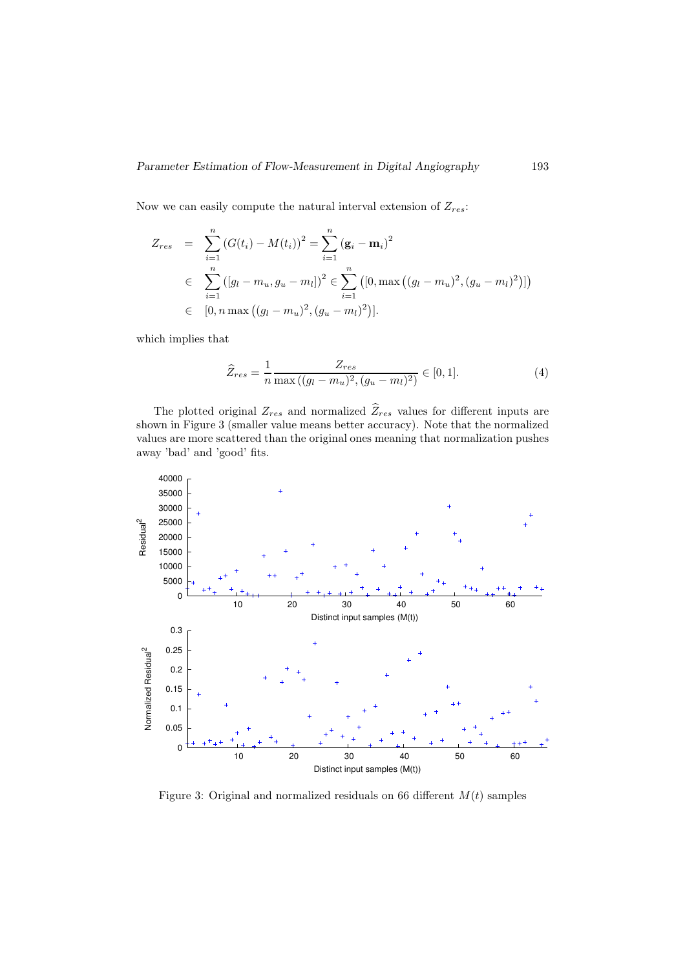Now we can easily compute the natural interval extension of  $Z_{res}$ :

$$
Z_{res} = \sum_{i=1}^{n} (G(t_i) - M(t_i))^2 = \sum_{i=1}^{n} (\mathbf{g}_i - \mathbf{m}_i)^2
$$
  
\n
$$
\in \sum_{i=1}^{n} ([g_l - m_u, g_u - m_l])^2 \in \sum_{i=1}^{n} ([0, \max ((g_l - m_u)^2, (g_u - m_l)^2)])
$$
  
\n
$$
\in [0, n \max ((g_l - m_u)^2, (g_u - m_l)^2)].
$$

which implies that

$$
\widehat{Z}_{res} = \frac{1}{n} \frac{Z_{res}}{\max((g_l - m_u)^2, (g_u - m_l)^2)} \in [0, 1].
$$
\n(4)

The plotted original  $Z_{res}$  and normalized  $\widehat{Z}_{res}$  values for different inputs are shown in Figure 3 (smaller value means better accuracy). Note that the normalized values are more scattered than the original ones meaning that normalization pushes away 'bad' and 'good' fits.



Figure 3: Original and normalized residuals on 66 different  $M(t)$  samples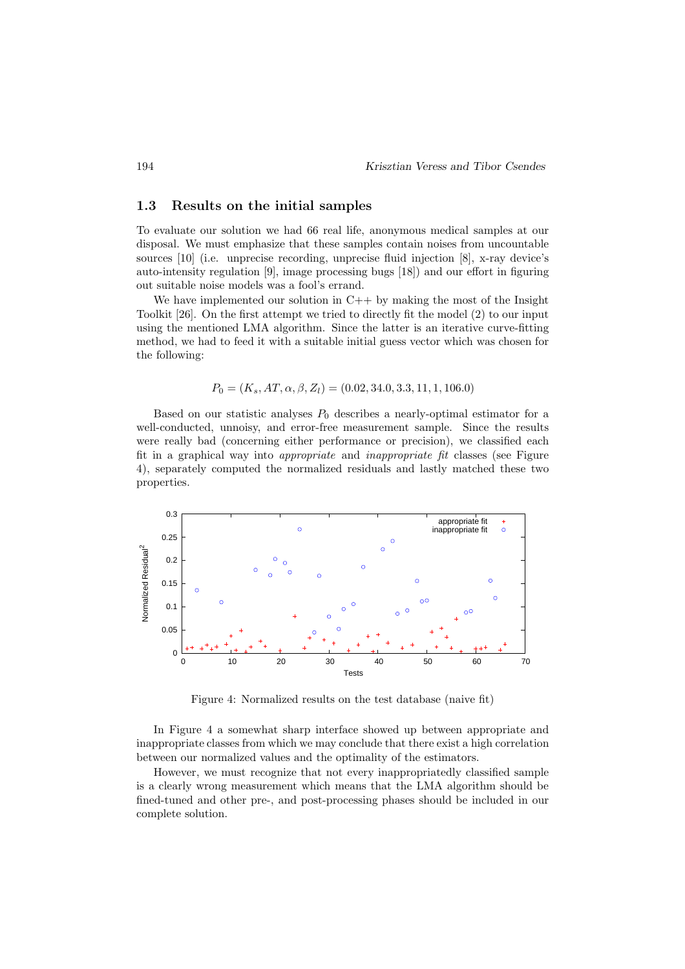#### 1.3 Results on the initial samples

To evaluate our solution we had 66 real life, anonymous medical samples at our disposal. We must emphasize that these samples contain noises from uncountable sources [10] (i.e. unprecise recording, unprecise fluid injection [8], x-ray device's auto-intensity regulation [9], image processing bugs [18]) and our effort in figuring out suitable noise models was a fool's errand.

We have implemented our solution in  $C++$  by making the most of the Insight Toolkit [26]. On the first attempt we tried to directly fit the model (2) to our input using the mentioned LMA algorithm. Since the latter is an iterative curve-fitting method, we had to feed it with a suitable initial guess vector which was chosen for the following:

$$
P_0 = (K_s, AT, \alpha, \beta, Z_l) = (0.02, 34.0, 3.3, 11, 1, 106.0)
$$

Based on our statistic analyses  $P_0$  describes a nearly-optimal estimator for a well-conducted, unnoisy, and error-free measurement sample. Since the results were really bad (concerning either performance or precision), we classified each fit in a graphical way into appropriate and inappropriate fit classes (see Figure 4), separately computed the normalized residuals and lastly matched these two properties.



Figure 4: Normalized results on the test database (naive fit)

In Figure 4 a somewhat sharp interface showed up between appropriate and inappropriate classes from which we may conclude that there exist a high correlation between our normalized values and the optimality of the estimators.

However, we must recognize that not every inappropriatedly classified sample is a clearly wrong measurement which means that the LMA algorithm should be fined-tuned and other pre-, and post-processing phases should be included in our complete solution.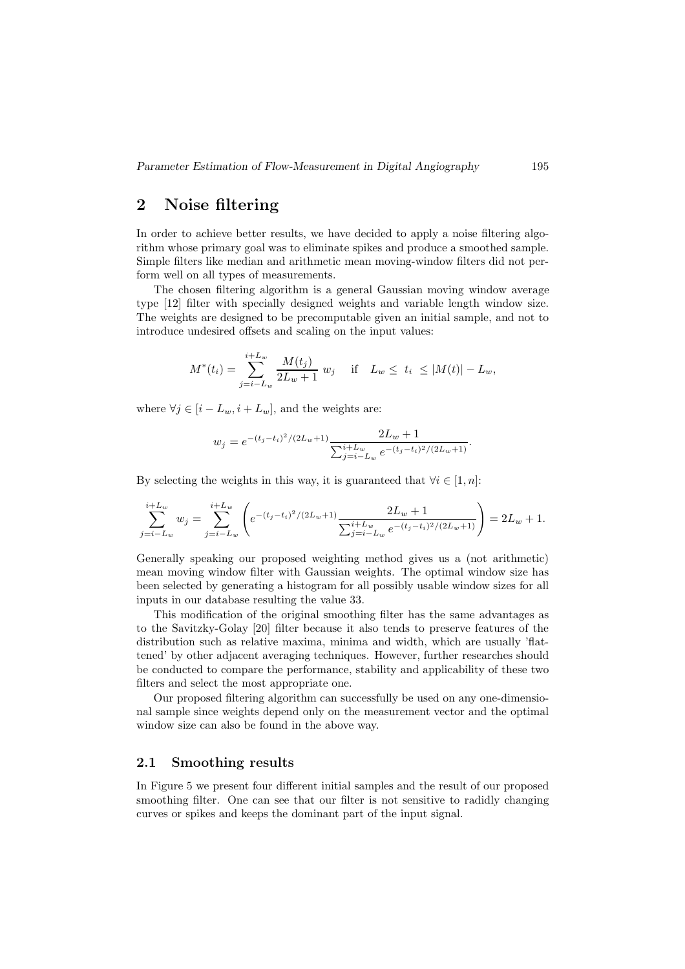## 2 Noise filtering

In order to achieve better results, we have decided to apply a noise filtering algorithm whose primary goal was to eliminate spikes and produce a smoothed sample. Simple filters like median and arithmetic mean moving-window filters did not perform well on all types of measurements.

The chosen filtering algorithm is a general Gaussian moving window average type [12] filter with specially designed weights and variable length window size. The weights are designed to be precomputable given an initial sample, and not to introduce undesired offsets and scaling on the input values:

$$
M^{*}(t_{i}) = \sum_{j=i-L_{w}}^{i+L_{w}} \frac{M(t_{j})}{2L_{w}+1} w_{j} \quad \text{if} \quad L_{w} \leq t_{i} \leq |M(t)| - L_{w},
$$

where  $\forall j \in [i - L_w, i + L_w]$ , and the weights are:

$$
w_j = e^{-(t_j - t_i)^2/(2L_w + 1)} \frac{2L_w + 1}{\sum_{j=i-L_w}^{i+L_w} e^{-(t_j - t_i)^2/(2L_w + 1)}}.
$$

By selecting the weights in this way, it is guaranteed that  $\forall i \in [1, n]$ :

$$
\sum_{j=i-L_w}^{i+L_w} w_j = \sum_{j=i-L_w}^{i+L_w} \left( e^{-(t_j-t_i)^2/(2L_w+1)} \frac{2L_w+1}{\sum_{j=i-L_w}^{i+L_w} e^{-(t_j-t_i)^2/(2L_w+1)}} \right) = 2L_w+1.
$$

Generally speaking our proposed weighting method gives us a (not arithmetic) mean moving window filter with Gaussian weights. The optimal window size has been selected by generating a histogram for all possibly usable window sizes for all inputs in our database resulting the value 33.

This modification of the original smoothing filter has the same advantages as to the Savitzky-Golay [20] filter because it also tends to preserve features of the distribution such as relative maxima, minima and width, which are usually 'flattened' by other adjacent averaging techniques. However, further researches should be conducted to compare the performance, stability and applicability of these two filters and select the most appropriate one.

Our proposed filtering algorithm can successfully be used on any one-dimensional sample since weights depend only on the measurement vector and the optimal window size can also be found in the above way.

#### 2.1 Smoothing results

In Figure 5 we present four different initial samples and the result of our proposed smoothing filter. One can see that our filter is not sensitive to radidly changing curves or spikes and keeps the dominant part of the input signal.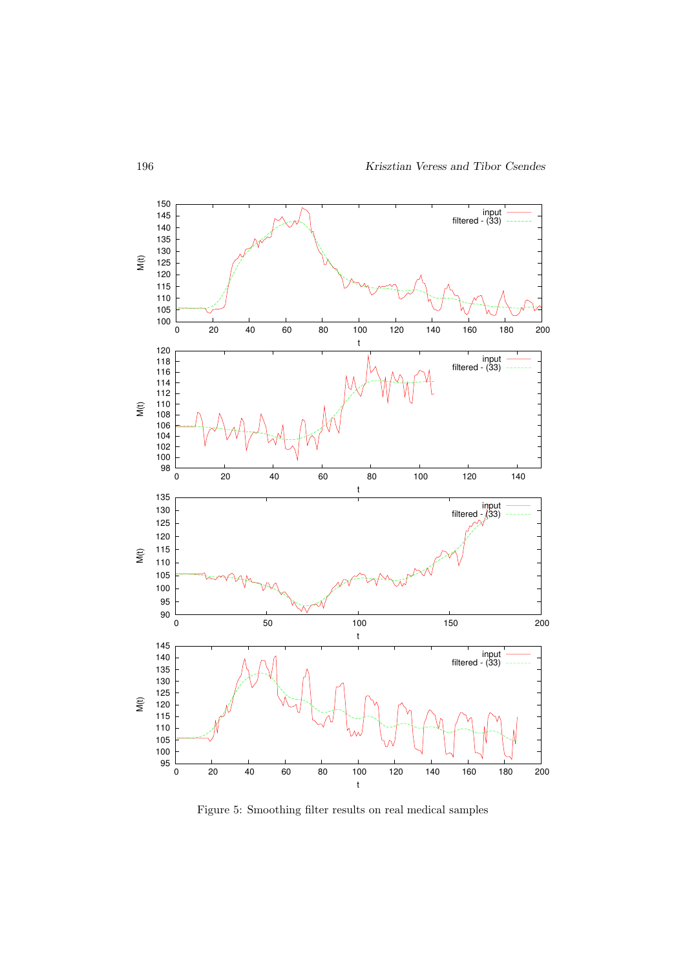

Figure 5: Smoothing filter results on real medical samples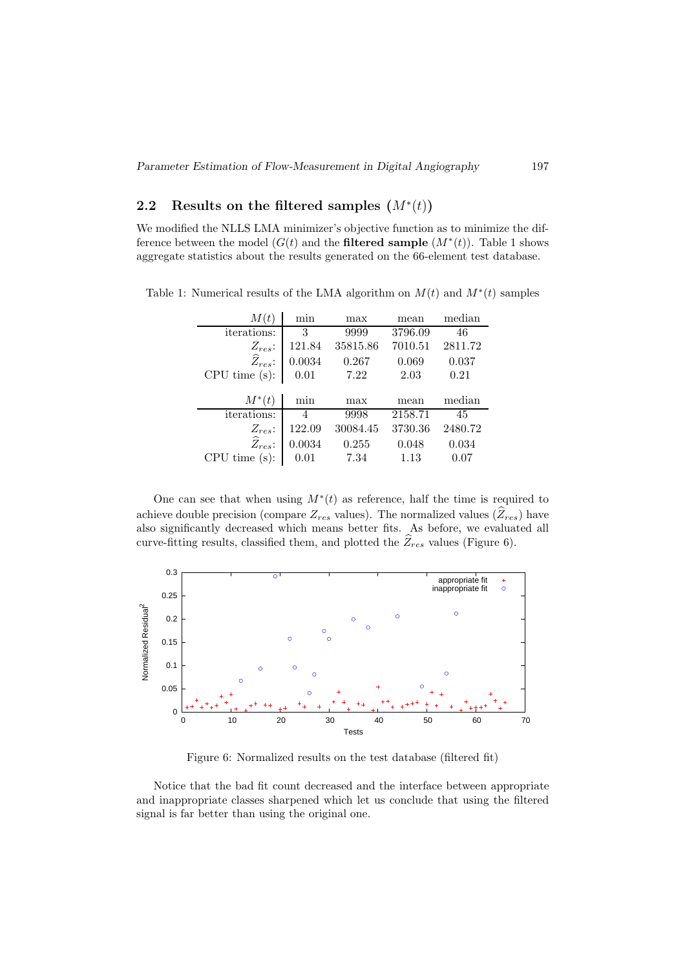# 2.2 Results on the filtered samples  $(M^*(t))$

We modified the NLLS LMA minimizer's objective function as to minimize the difference between the model  $(G(t)$  and the **filtered sample**  $(M^*(t))$ . Table 1 shows aggregate statistics about the results generated on the 66-element test database.

| M(t)                  | min    | max      | mean    | median  |
|-----------------------|--------|----------|---------|---------|
| <i>iterations:</i>    | 3      | 9999     | 3796.09 | 46      |
| $Z_{res}$ :           | 121.84 | 35815.86 | 7010.51 | 2811.72 |
| $\widehat{Z}_{res}$ : | 0.0034 | 0.267    | 0.069   | 0.037   |
| CPU time(s):          | 0.01   | 7.22     | 2.03    | 0.21    |
|                       |        |          |         |         |
|                       |        |          |         |         |
| $M^*(t)$              | min    | max      | mean    | median  |
| <i>iterations:</i>    | 4      | 9998     | 2158.71 | 45      |
| $Z_{res}$ :           | 122.09 | 30084.45 | 3730.36 | 2480.72 |
| $\widehat{Z}_{res}$ : | 0.0034 | 0.255    | 0.048   | 0.034   |

Table 1: Numerical results of the LMA algorithm on  $M(t)$  and  $M^*(t)$  samples

One can see that when using  $M^*(t)$  as reference, half the time is required to achieve double precision (compare  $Z_{res}$  values). The normalized values  $(\widehat{Z}_{res})$  have also significantly decreased which means better fits. As before, we evaluated all curve-fitting results, classified them, and plotted the  $\widehat{Z}_{res}$  values (Figure 6).



Figure 6: Normalized results on the test database (filtered fit)

Notice that the bad fit count decreased and the interface between appropriate and inappropriate classes sharpened which let us conclude that using the filtered signal is far better than using the original one.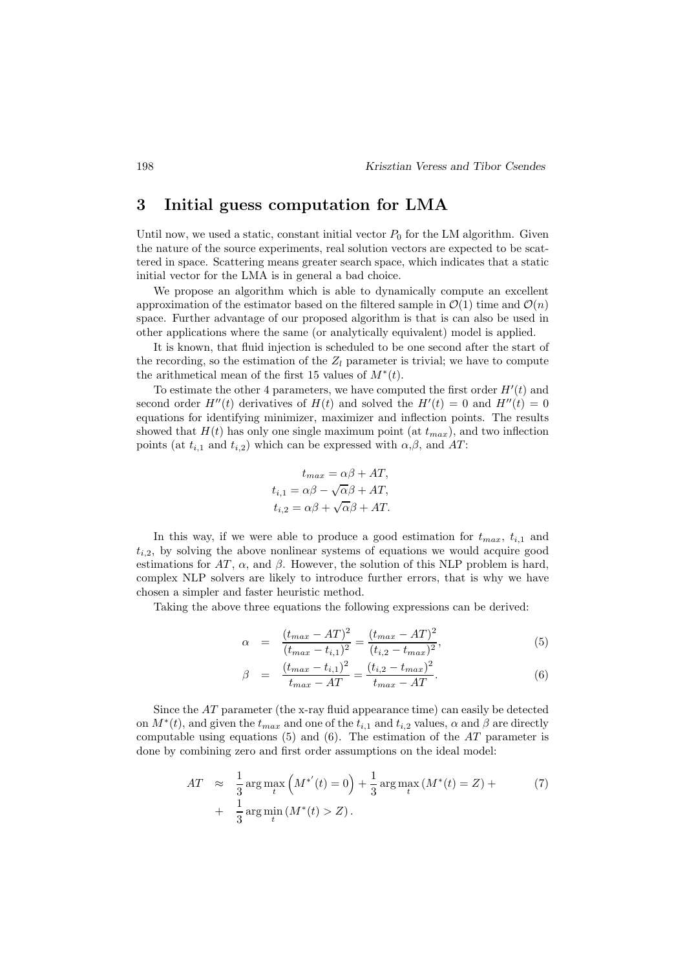### 3 Initial guess computation for LMA

Until now, we used a static, constant initial vector  $P_0$  for the LM algorithm. Given the nature of the source experiments, real solution vectors are expected to be scattered in space. Scattering means greater search space, which indicates that a static initial vector for the LMA is in general a bad choice.

We propose an algorithm which is able to dynamically compute an excellent approximation of the estimator based on the filtered sample in  $\mathcal{O}(1)$  time and  $\mathcal{O}(n)$ space. Further advantage of our proposed algorithm is that is can also be used in other applications where the same (or analytically equivalent) model is applied.

It is known, that fluid injection is scheduled to be one second after the start of the recording, so the estimation of the  $Z_l$  parameter is trivial; we have to compute the arithmetical mean of the first 15 values of  $M^*(t)$ .

To estimate the other 4 parameters, we have computed the first order  $H'(t)$  and second order  $H''(t)$  derivatives of  $H(t)$  and solved the  $H'(t) = 0$  and  $H''(t) = 0$ equations for identifying minimizer, maximizer and inflection points. The results showed that  $H(t)$  has only one single maximum point (at  $t_{max}$ ), and two inflection points (at  $t_{i,1}$  and  $t_{i,2}$ ) which can be expressed with  $\alpha,\beta$ , and AT:

$$
t_{max} = \alpha \beta + AT,
$$
  
\n
$$
t_{i,1} = \alpha \beta - \sqrt{\alpha} \beta + AT,
$$
  
\n
$$
t_{i,2} = \alpha \beta + \sqrt{\alpha} \beta + AT.
$$

In this way, if we were able to produce a good estimation for  $t_{max}$ ,  $t_{i,1}$  and  $t_{i,2}$ , by solving the above nonlinear systems of equations we would acquire good estimations for AT,  $\alpha$ , and  $\beta$ . However, the solution of this NLP problem is hard, complex NLP solvers are likely to introduce further errors, that is why we have chosen a simpler and faster heuristic method.

Taking the above three equations the following expressions can be derived:

$$
\alpha = \frac{(t_{max} - AT)^2}{(t_{max} - t_{i,1})^2} = \frac{(t_{max} - AT)^2}{(t_{i,2} - t_{max})^2},
$$
\n(5)

$$
\beta = \frac{(t_{max} - t_{i,1})^2}{t_{max} - AT} = \frac{(t_{i,2} - t_{max})^2}{t_{max} - AT}.
$$
\n(6)

Since the AT parameter (the x-ray fluid appearance time) can easily be detected on  $M^*(t)$ , and given the  $t_{max}$  and one of the  $t_{i,1}$  and  $t_{i,2}$  values,  $\alpha$  and  $\beta$  are directly computable using equations (5) and (6). The estimation of the  $AT$  parameter is done by combining zero and first order assumptions on the ideal model:

$$
AT \approx \frac{1}{3} \arg \max_{t} \left( M^{*'}(t) = 0 \right) + \frac{1}{3} \arg \max_{t} \left( M^{*}(t) = Z \right) +
$$
  
+ 
$$
\frac{1}{3} \arg \min_{t} \left( M^{*}(t) > Z \right).
$$
 (7)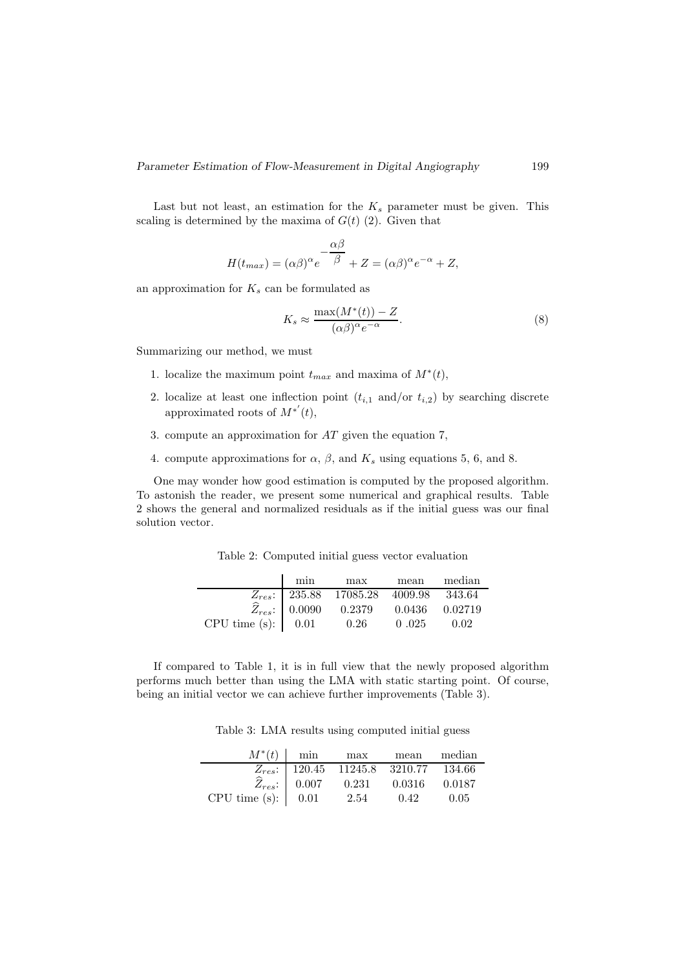Last but not least, an estimation for the  $K_s$  parameter must be given. This scaling is determined by the maxima of  $G(t)$  (2). Given that

$$
H(t_{max}) = (\alpha \beta)^{\alpha} e^{-\frac{\alpha \beta}{\beta}} + Z = (\alpha \beta)^{\alpha} e^{-\alpha} + Z,
$$

an approximation for  $K_s$  can be formulated as

$$
K_s \approx \frac{\max(M^*(t)) - Z}{(\alpha \beta)^{\alpha} e^{-\alpha}}.
$$
\n(8)

Summarizing our method, we must

- 1. localize the maximum point  $t_{max}$  and maxima of  $M^*(t)$ ,
- 2. localize at least one inflection point  $(t_{i,1} \text{ and/or } t_{i,2})$  by searching discrete approximated roots of  $M^{*'}(t)$ ,
- 3. compute an approximation for AT given the equation 7,
- 4. compute approximations for  $\alpha$ ,  $\beta$ , and  $K_s$  using equations 5, 6, and 8.

One may wonder how good estimation is computed by the proposed algorithm. To astonish the reader, we present some numerical and graphical results. Table 2 shows the general and normalized residuals as if the initial guess was our final solution vector.

Table 2: Computed initial guess vector evaluation

|                                                    | min | max                                         | mean           | median |
|----------------------------------------------------|-----|---------------------------------------------|----------------|--------|
|                                                    |     | $Z_{res}$ : 235.88 17085.28 4009.98 343.64  |                |        |
|                                                    |     | $\widehat{Z}_{res}$ : $\Big  0.0090 0.2379$ | 0.0436 0.02719 |        |
| CPU time (s): $\begin{bmatrix} 0.01 \end{bmatrix}$ |     | 0.26                                        | 0.025          | 0.02   |

If compared to Table 1, it is in full view that the newly proposed algorithm performs much better than using the LMA with static starting point. Of course, being an initial vector we can achieve further improvements (Table 3).

Table 3: LMA results using computed initial guess

|                                                              | $M^*(t)$ min | max                                                              | mean   | median |
|--------------------------------------------------------------|--------------|------------------------------------------------------------------|--------|--------|
|                                                              |              | $Z_{res}:$ 120.45 11245.8 3210.77 134.66                         |        |        |
|                                                              |              | $\widehat{Z}_{res}: \begin{bmatrix} 0.007 & 0.231 \end{bmatrix}$ | 0.0316 | 0.0187 |
| CPU time (s): $\begin{array}{ c c } \hline 0.01 \end{array}$ |              | 2.54                                                             | 0.42   | -0.05  |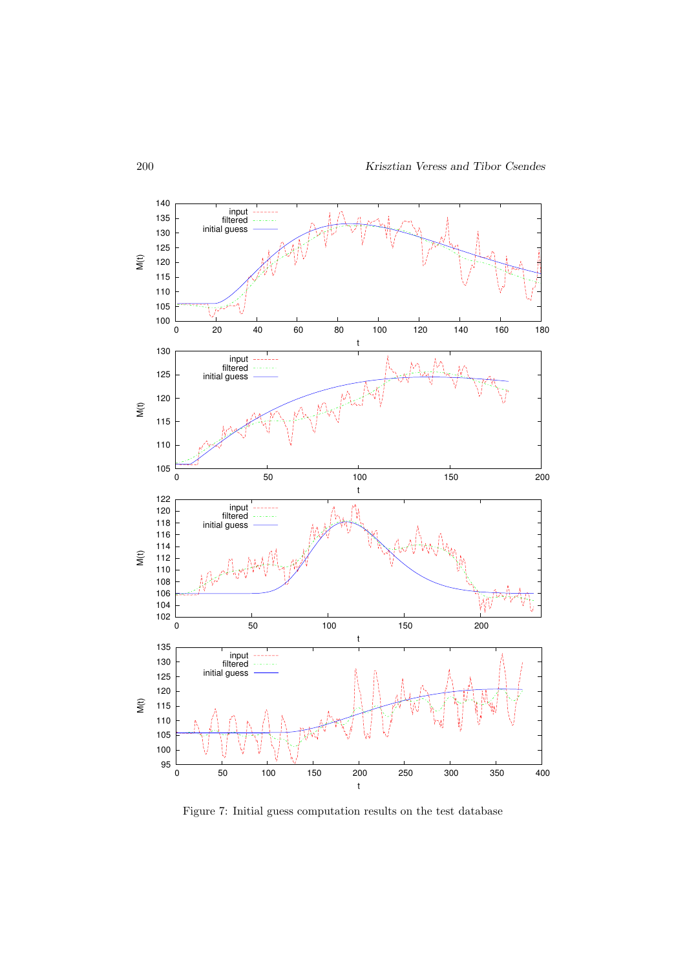

Figure 7: Initial guess computation results on the test database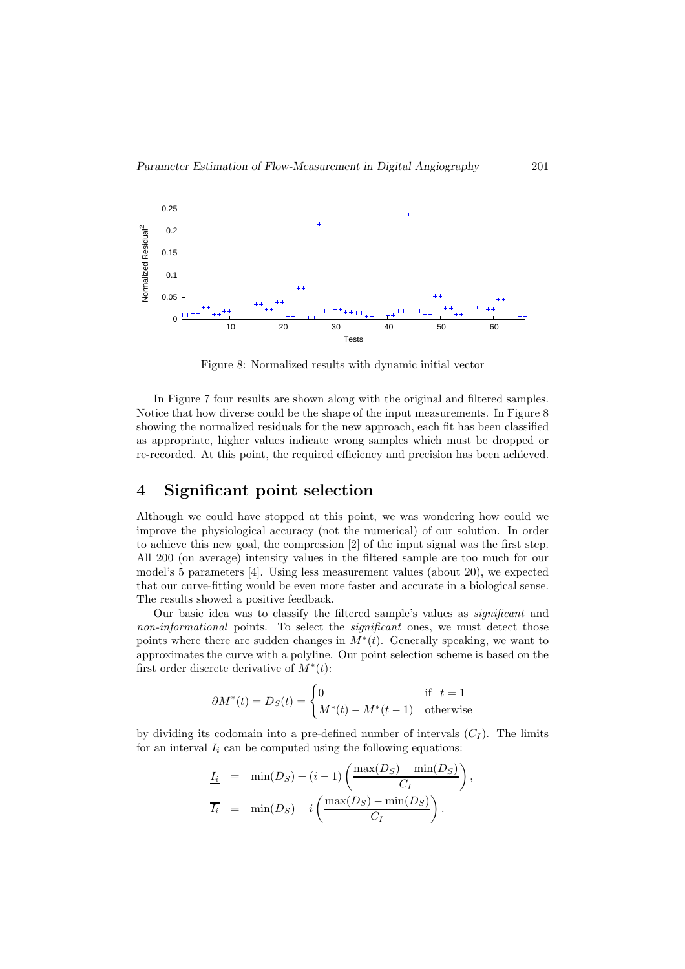

Figure 8: Normalized results with dynamic initial vector

In Figure 7 four results are shown along with the original and filtered samples. Notice that how diverse could be the shape of the input measurements. In Figure 8 showing the normalized residuals for the new approach, each fit has been classified as appropriate, higher values indicate wrong samples which must be dropped or re-recorded. At this point, the required efficiency and precision has been achieved.

### 4 Significant point selection

Although we could have stopped at this point, we was wondering how could we improve the physiological accuracy (not the numerical) of our solution. In order to achieve this new goal, the compression [2] of the input signal was the first step. All 200 (on average) intensity values in the filtered sample are too much for our model's 5 parameters [4]. Using less measurement values (about 20), we expected that our curve-fitting would be even more faster and accurate in a biological sense. The results showed a positive feedback.

Our basic idea was to classify the filtered sample's values as significant and non-informational points. To select the *significant* ones, we must detect those points where there are sudden changes in  $M^*(t)$ . Generally speaking, we want to approximates the curve with a polyline. Our point selection scheme is based on the first order discrete derivative of  $\overrightarrow{M}^*(t)$ :

$$
\partial M^*(t) = D_S(t) = \begin{cases} 0 & \text{if } t = 1\\ M^*(t) - M^*(t-1) & \text{otherwise} \end{cases}
$$

by dividing its codomain into a pre-defined number of intervals  $(C_I)$ . The limits for an interval  $I_i$  can be computed using the following equations:

$$
\underline{I_i} = \min(D_S) + (i - 1) \left( \frac{\max(D_S) - \min(D_S)}{C_I} \right),
$$
  

$$
\overline{I_i} = \min(D_S) + i \left( \frac{\max(D_S) - \min(D_S)}{C_I} \right).
$$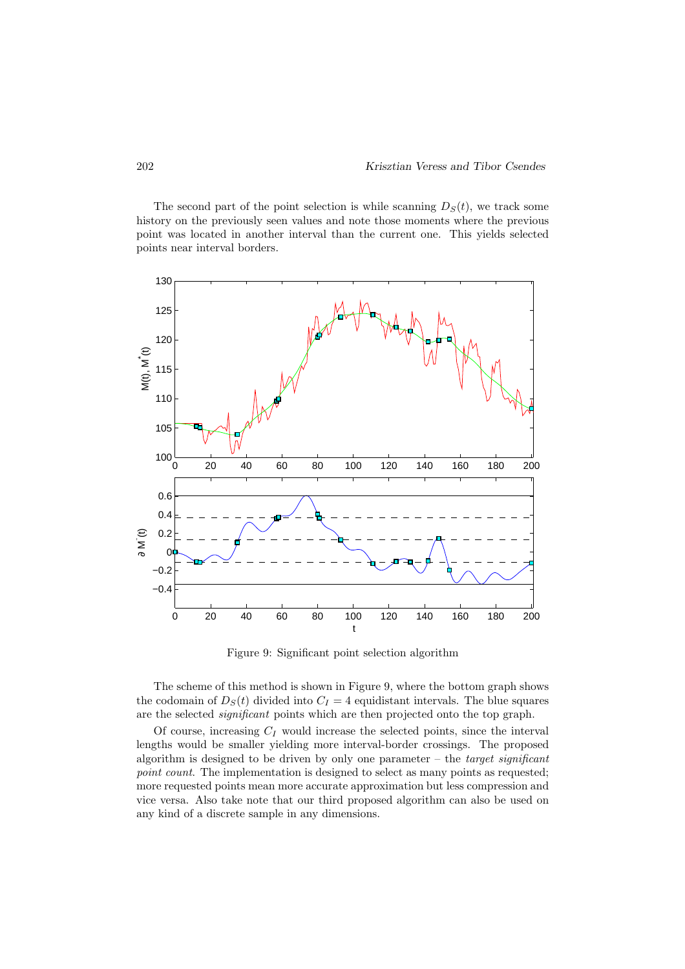The second part of the point selection is while scanning  $D<sub>S</sub>(t)$ , we track some history on the previously seen values and note those moments where the previous point was located in another interval than the current one. This yields selected points near interval borders.



Figure 9: Significant point selection algorithm

The scheme of this method is shown in Figure 9, where the bottom graph shows the codomain of  $D<sub>S</sub>(t)$  divided into  $C<sub>I</sub> = 4$  equidistant intervals. The blue squares are the selected significant points which are then projected onto the top graph.

Of course, increasing  $C_I$  would increase the selected points, since the interval lengths would be smaller yielding more interval-border crossings. The proposed algorithm is designed to be driven by only one parameter – the target significant point count. The implementation is designed to select as many points as requested; more requested points mean more accurate approximation but less compression and vice versa. Also take note that our third proposed algorithm can also be used on any kind of a discrete sample in any dimensions.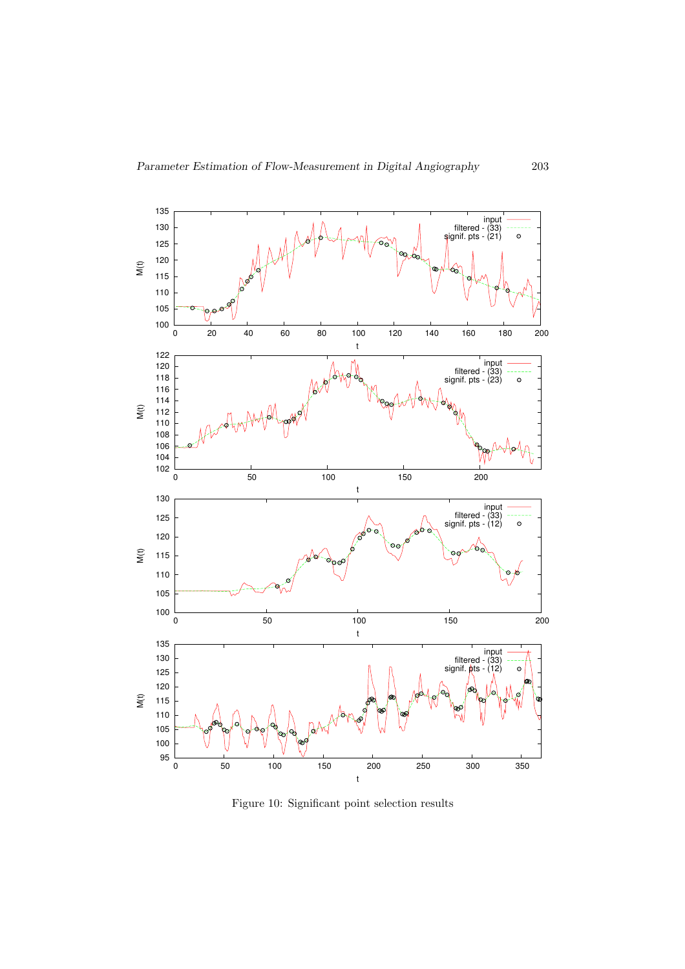

Figure 10: Significant point selection results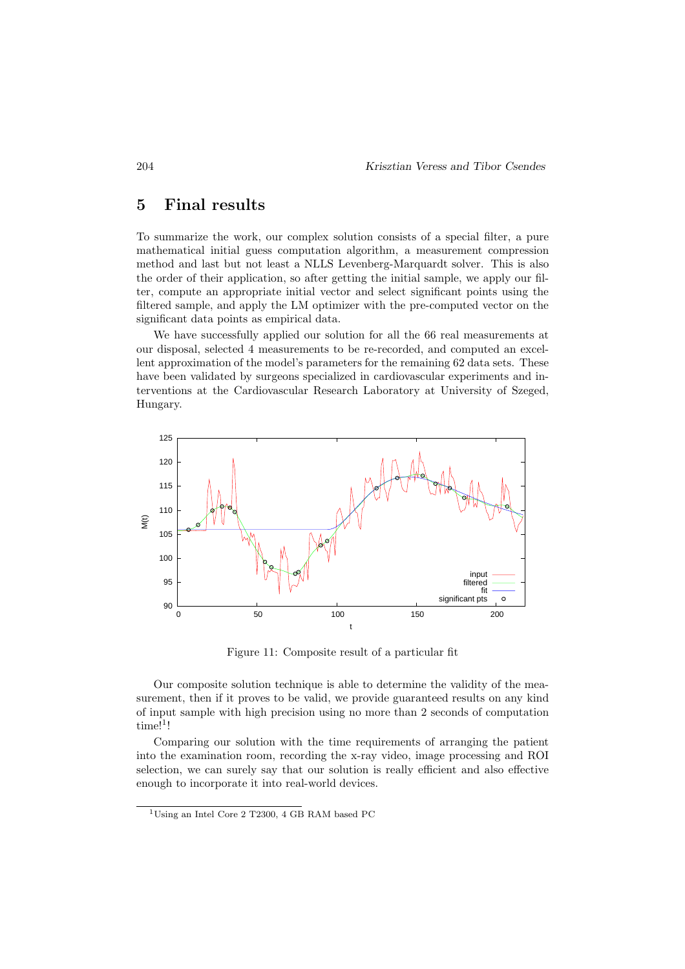# 5 Final results

To summarize the work, our complex solution consists of a special filter, a pure mathematical initial guess computation algorithm, a measurement compression method and last but not least a NLLS Levenberg-Marquardt solver. This is also the order of their application, so after getting the initial sample, we apply our filter, compute an appropriate initial vector and select significant points using the filtered sample, and apply the LM optimizer with the pre-computed vector on the significant data points as empirical data.

We have successfully applied our solution for all the 66 real measurements at our disposal, selected 4 measurements to be re-recorded, and computed an excellent approximation of the model's parameters for the remaining 62 data sets. These have been validated by surgeons specialized in cardiovascular experiments and interventions at the Cardiovascular Research Laboratory at University of Szeged, Hungary.



Figure 11: Composite result of a particular fit

Our composite solution technique is able to determine the validity of the measurement, then if it proves to be valid, we provide guaranteed results on any kind of input sample with high precision using no more than 2 seconds of computation  $time!$ <sup>1</sup>!

Comparing our solution with the time requirements of arranging the patient into the examination room, recording the x-ray video, image processing and ROI selection, we can surely say that our solution is really efficient and also effective enough to incorporate it into real-world devices.

<sup>&</sup>lt;sup>1</sup>Using an Intel Core 2 T2300, 4 GB RAM based PC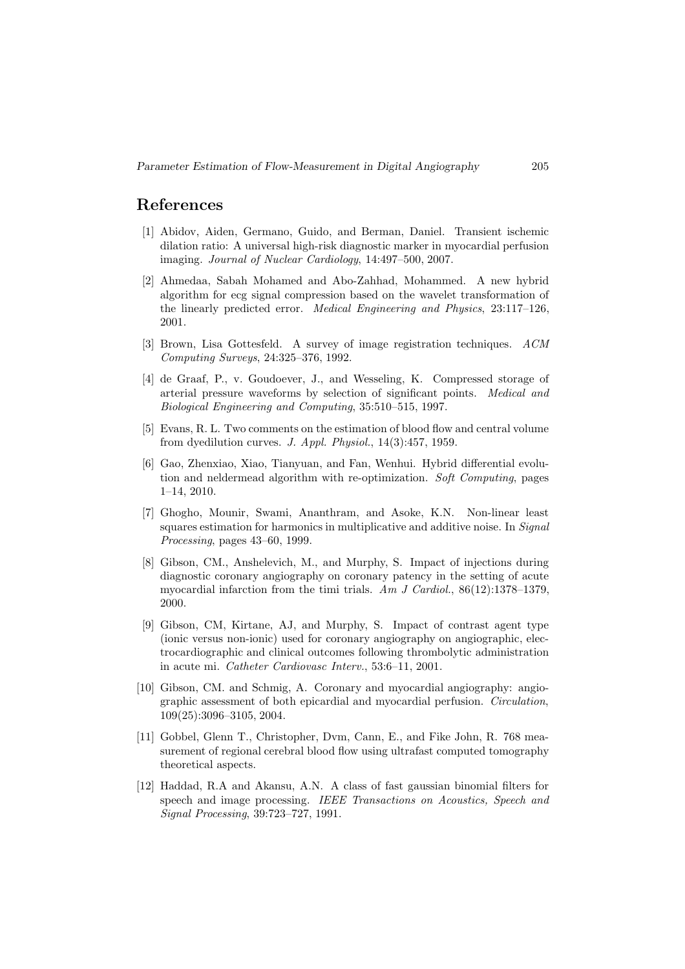### References

- [1] Abidov, Aiden, Germano, Guido, and Berman, Daniel. Transient ischemic dilation ratio: A universal high-risk diagnostic marker in myocardial perfusion imaging. Journal of Nuclear Cardiology, 14:497–500, 2007.
- [2] Ahmedaa, Sabah Mohamed and Abo-Zahhad, Mohammed. A new hybrid algorithm for ecg signal compression based on the wavelet transformation of the linearly predicted error. Medical Engineering and Physics, 23:117–126, 2001.
- [3] Brown, Lisa Gottesfeld. A survey of image registration techniques. ACM Computing Surveys, 24:325–376, 1992.
- [4] de Graaf, P., v. Goudoever, J., and Wesseling, K. Compressed storage of arterial pressure waveforms by selection of significant points. Medical and Biological Engineering and Computing, 35:510–515, 1997.
- [5] Evans, R. L. Two comments on the estimation of blood flow and central volume from dyedilution curves. J. Appl. Physiol., 14(3):457, 1959.
- [6] Gao, Zhenxiao, Xiao, Tianyuan, and Fan, Wenhui. Hybrid differential evolution and neldermead algorithm with re-optimization. Soft Computing, pages 1–14, 2010.
- [7] Ghogho, Mounir, Swami, Ananthram, and Asoke, K.N. Non-linear least squares estimation for harmonics in multiplicative and additive noise. In Signal Processing, pages 43–60, 1999.
- [8] Gibson, CM., Anshelevich, M., and Murphy, S. Impact of injections during diagnostic coronary angiography on coronary patency in the setting of acute myocardial infarction from the timi trials. Am J Cardiol.,  $86(12):1378-1379$ , 2000.
- [9] Gibson, CM, Kirtane, AJ, and Murphy, S. Impact of contrast agent type (ionic versus non-ionic) used for coronary angiography on angiographic, electrocardiographic and clinical outcomes following thrombolytic administration in acute mi. Catheter Cardiovasc Interv., 53:6–11, 2001.
- [10] Gibson, CM. and Schmig, A. Coronary and myocardial angiography: angiographic assessment of both epicardial and myocardial perfusion. Circulation, 109(25):3096–3105, 2004.
- [11] Gobbel, Glenn T., Christopher, Dvm, Cann, E., and Fike John, R. 768 measurement of regional cerebral blood flow using ultrafast computed tomography theoretical aspects.
- [12] Haddad, R.A and Akansu, A.N. A class of fast gaussian binomial filters for speech and image processing. IEEE Transactions on Acoustics, Speech and Signal Processing, 39:723–727, 1991.